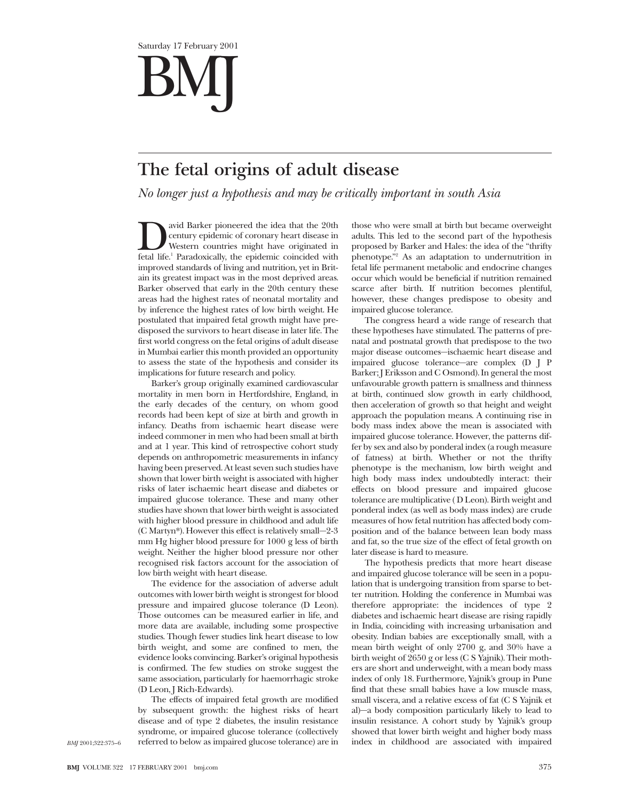## Saturday 17 February 2001 BMJ

## **The fetal origins of adult disease**

*No longer just a hypothesis and may be critically important in south Asia*

avid Barker pioneered the idea that the 20th century epidemic of coronary heart disease in Western countries might have originated in fetal life.<sup>1</sup> Paradoxically, the epidemic coincided with century epidemic of coronary heart disease in Western countries might have originated in improved standards of living and nutrition, yet in Britain its greatest impact was in the most deprived areas. Barker observed that early in the 20th century these areas had the highest rates of neonatal mortality and by inference the highest rates of low birth weight. He postulated that impaired fetal growth might have predisposed the survivors to heart disease in later life. The first world congress on the fetal origins of adult disease in Mumbai earlier this month provided an opportunity to assess the state of the hypothesis and consider its implications for future research and policy.

Barker's group originally examined cardiovascular mortality in men born in Hertfordshire, England, in the early decades of the century, on whom good records had been kept of size at birth and growth in infancy. Deaths from ischaemic heart disease were indeed commoner in men who had been small at birth and at 1 year. This kind of retrospective cohort study depends on anthropometric measurements in infancy having been preserved. At least seven such studies have shown that lower birth weight is associated with higher risks of later ischaemic heart disease and diabetes or impaired glucose tolerance. These and many other studies have shown that lower birth weight is associated with higher blood pressure in childhood and adult life (C Martyn\*). However this effect is relatively small—2-3 mm Hg higher blood pressure for 1000 g less of birth weight. Neither the higher blood pressure nor other recognised risk factors account for the association of low birth weight with heart disease.

The evidence for the association of adverse adult outcomes with lower birth weight is strongest for blood pressure and impaired glucose tolerance (D Leon). Those outcomes can be measured earlier in life, and more data are available, including some prospective studies. Though fewer studies link heart disease to low birth weight, and some are confined to men, the evidence looks convincing. Barker's original hypothesis is confirmed. The few studies on stroke suggest the same association, particularly for haemorrhagic stroke (D Leon, J Rich-Edwards).

The effects of impaired fetal growth are modified by subsequent growth: the highest risks of heart disease and of type 2 diabetes, the insulin resistance syndrome, or impaired glucose tolerance (collectively referred to below as impaired glucose tolerance) are in

those who were small at birth but became overweight adults. This led to the second part of the hypothesis proposed by Barker and Hales: the idea of the "thrifty phenotype."2 As an adaptation to undernutrition in fetal life permanent metabolic and endocrine changes occur which would be beneficial if nutrition remained scarce after birth. If nutrition becomes plentiful, however, these changes predispose to obesity and impaired glucose tolerance.

The congress heard a wide range of research that these hypotheses have stimulated. The patterns of prenatal and postnatal growth that predispose to the two major disease outcomes—ischaemic heart disease and impaired glucose tolerance—are complex (D J P Barker; J Eriksson and C Osmond). In general the most unfavourable growth pattern is smallness and thinness at birth, continued slow growth in early childhood, then acceleration of growth so that height and weight approach the population means. A continuing rise in body mass index above the mean is associated with impaired glucose tolerance. However, the patterns differ by sex and also by ponderal index (a rough measure of fatness) at birth. Whether or not the thrifty phenotype is the mechanism, low birth weight and high body mass index undoubtedly interact: their effects on blood pressure and impaired glucose tolerance are multiplicative ( D Leon). Birth weight and ponderal index (as well as body mass index) are crude measures of how fetal nutrition has affected body composition and of the balance between lean body mass and fat, so the true size of the effect of fetal growth on later disease is hard to measure.

The hypothesis predicts that more heart disease and impaired glucose tolerance will be seen in a population that is undergoing transition from sparse to better nutrition. Holding the conference in Mumbai was therefore appropriate: the incidences of type 2 diabetes and ischaemic heart disease are rising rapidly in India, coinciding with increasing urbanisation and obesity. Indian babies are exceptionally small, with a mean birth weight of only 2700 g, and 30% have a birth weight of 2650 g or less (C S Yajnik). Their mothers are short and underweight, with a mean body mass index of only 18. Furthermore, Yajnik's group in Pune find that these small babies have a low muscle mass, small viscera, and a relative excess of fat (C S Yajnik et al)—a body composition particularly likely to lead to insulin resistance. A cohort study by Yajnik's group showed that lower birth weight and higher body mass index in childhood are associated with impaired

*BMJ* 2001;322:375–6